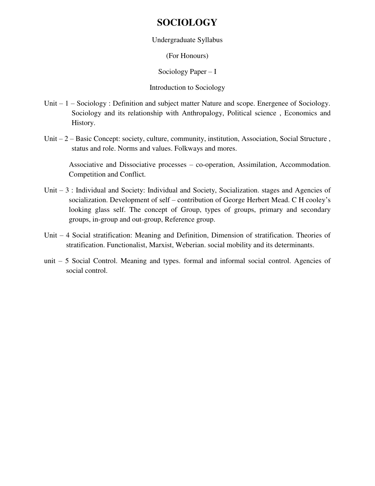## **SOCIOLOGY**

Undergraduate Syllabus

(For Honours)

Sociology Paper – I

Introduction to Sociology

- Unit 1 Sociology : Definition and subject matter Nature and scope. Energenee of Sociology. Sociology and its relationship with Anthropalogy, Political science , Economics and History.
- Unit 2 Basic Concept: society, culture, community, institution, Association, Social Structure , status and role. Norms and values. Folkways and mores.

Associative and Dissociative processes – co-operation, Assimilation, Accommodation. Competition and Conflict.

- Unit 3 : Individual and Society: Individual and Society, Socialization. stages and Agencies of socialization. Development of self – contribution of George Herbert Mead. C H cooley's looking glass self. The concept of Group, types of groups, primary and secondary groups, in-group and out-group, Reference group.
- Unit 4 Social stratification: Meaning and Definition, Dimension of stratification. Theories of stratification. Functionalist, Marxist, Weberian. social mobility and its determinants.
- unit 5 Social Control. Meaning and types. formal and informal social control. Agencies of social control.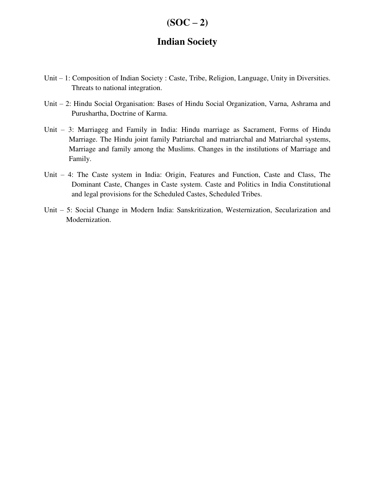### $(SOC - 2)$

### **Indian Society**

- Unit 1: Composition of Indian Society : Caste, Tribe, Religion, Language, Unity in Diversities. Threats to national integration.
- Unit 2: Hindu Social Organisation: Bases of Hindu Social Organization, Varna, Ashrama and Purushartha, Doctrine of Karma.
- Unit 3: Marriageg and Family in India: Hindu marriage as Sacrament, Forms of Hindu Marriage. The Hindu joint family Patriarchal and matriarchal and Matriarchal systems, Marriage and family among the Muslims. Changes in the instilutions of Marriage and Family.
- Unit 4: The Caste system in India: Origin, Features and Function, Caste and Class, The Dominant Caste, Changes in Caste system. Caste and Politics in India Constitutional and legal provisions for the Scheduled Castes, Scheduled Tribes.
- Unit 5: Social Change in Modern India: Sanskritization, Westernization, Secularization and Modernization.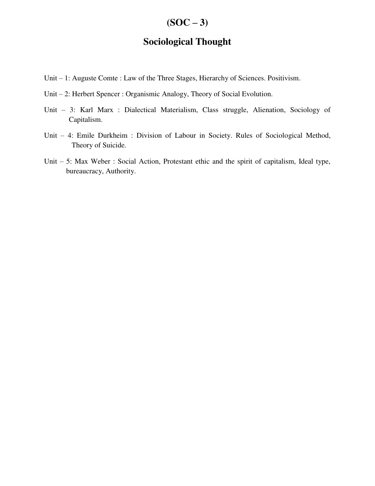## $(SOC - 3)$

### **Sociological Thought**

- Unit 1: Auguste Comte : Law of the Three Stages, Hierarchy of Sciences. Positivism.
- Unit 2: Herbert Spencer : Organismic Analogy, Theory of Social Evolution.
- Unit 3: Karl Marx : Dialectical Materialism, Class struggle, Alienation, Sociology of Capitalism.
- Unit 4: Emile Durkheim : Division of Labour in Society. Rules of Sociological Method, Theory of Suicide.
- Unit 5: Max Weber : Social Action, Protestant ethic and the spirit of capitalism, Ideal type, bureaucracy, Authority.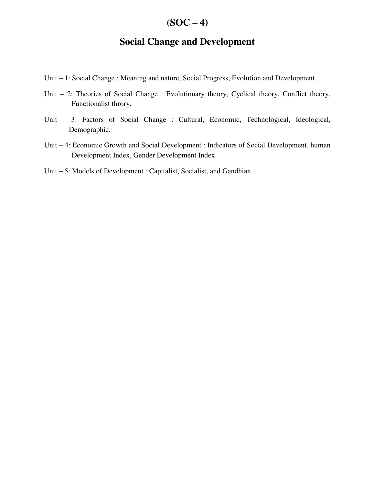## $(SOC - 4)$

### **Social Change and Development**

- Unit 1: Social Change : Meaning and nature, Social Progress, Evolution and Development.
- Unit 2: Theories of Social Change : Evolutionary theory, Cyclical theory, Conflict theory, Functionalist throry.
- Unit 3: Factors of Social Change : Cultural, Economic, Technological, Ideological, Demographic.
- Unit 4: Economic Growth and Social Development : Indicators of Social Development, human Development Index, Gender Development Index.
- Unit 5: Models of Development : Capitalist, Socialist, and Gandhian.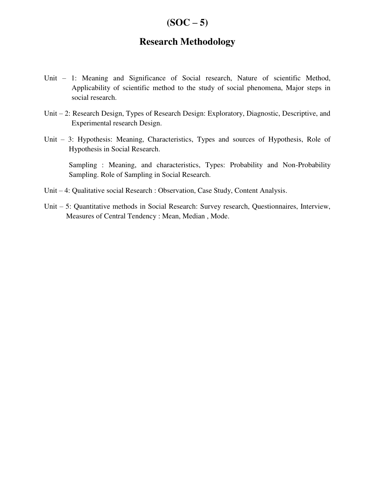### $(SOC - 5)$

## **Research Methodology**

- Unit 1: Meaning and Significance of Social research, Nature of scientific Method, Applicability of scientific method to the study of social phenomena, Major steps in social research.
- Unit 2: Research Design, Types of Research Design: Exploratory, Diagnostic, Descriptive, and Experimental research Design.
- Unit 3: Hypothesis: Meaning, Characteristics, Types and sources of Hypothesis, Role of Hypothesis in Social Research.

 Sampling : Meaning, and characteristics, Types: Probability and Non-Probability Sampling. Role of Sampling in Social Research.

- Unit 4: Qualitative social Research : Observation, Case Study, Content Analysis.
- Unit 5: Quantitative methods in Social Research: Survey research, Questionnaires, Interview, Measures of Central Tendency : Mean, Median , Mode.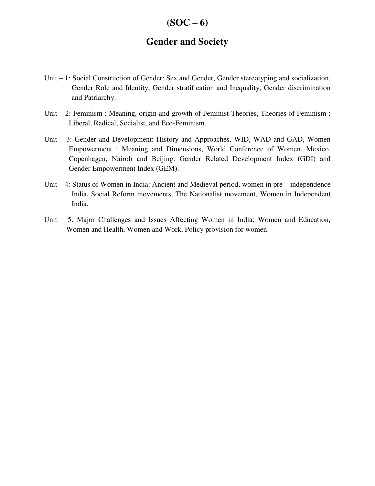### $(SOC - 6)$

### **Gender and Society**

- Unit 1: Social Construction of Gender: Sex and Gender, Gender stereotyping and socialization, Gender Role and Identity, Gender stratification and Inequality, Gender discrimination and Patriarchy.
- Unit 2: Feminism : Meaning, origin and growth of Feminist Theories, Theories of Feminism : Liberal, Radical, Socialist, and Eco-Feminism.
- Unit 3: Gender and Development: History and Approaches, WID, WAD and GAD, Women Empowerment : Meaning and Dimensions, World Conference of Women, Mexico, Copenhagen, Nairob and Beijing. Gender Related Development Index (GDI) and Gender Empowerment Index (GEM).
- Unit 4: Status of Women in India: Ancient and Medieval period, women in pre independence India, Social Reform movements, The Nationalist movement, Women in Independent India.
- Unit 5: Major Challenges and Issues Affecting Women in India: Women and Education, Women and Health, Women and Work, Policy provision for women.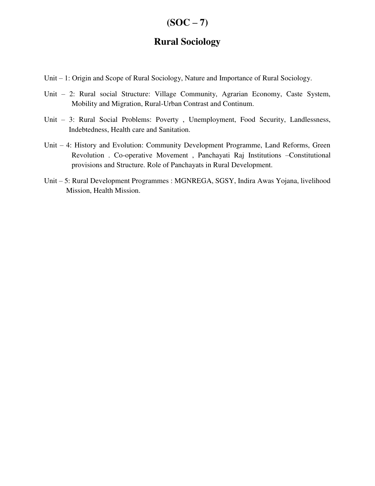### $(SOC - 7)$

### **Rural Sociology**

- Unit 1: Origin and Scope of Rural Sociology, Nature and Importance of Rural Sociology.
- Unit 2: Rural social Structure: Village Community, Agrarian Economy, Caste System, Mobility and Migration, Rural-Urban Contrast and Continum.
- Unit 3: Rural Social Problems: Poverty , Unemployment, Food Security, Landlessness, Indebtedness, Health care and Sanitation.
- Unit 4: History and Evolution: Community Development Programme, Land Reforms, Green Revolution . Co-operative Movement , Panchayati Raj Institutions –Constitutional provisions and Structure. Role of Panchayats in Rural Development.
- Unit 5: Rural Development Programmes : MGNREGA, SGSY, Indira Awas Yojana, livelihood Mission, Health Mission.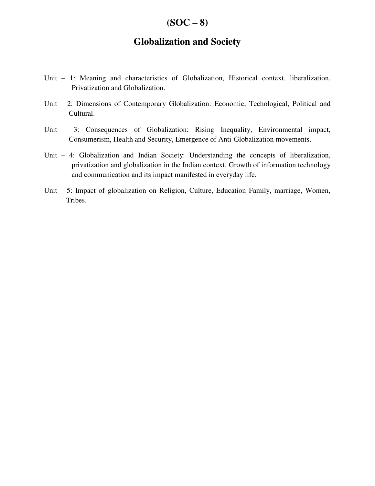### $(SOC - 8)$

### **Globalization and Society**

- Unit 1: Meaning and characteristics of Globalization, Historical context, liberalization, Privatization and Globalization.
- Unit 2: Dimensions of Contemporary Globalization: Economic, Techological, Political and Cultural.
- Unit 3: Consequences of Globalization: Rising Inequality, Environmental impact, Consumerism, Health and Security, Emergence of Anti-Globalization movements.
- Unit 4: Globalization and Indian Society: Understanding the concepts of liberalization, privatization and globalization in the Indian context. Growth of information technology and communication and its impact manifested in everyday life.
- Unit 5: Impact of globalization on Religion, Culture, Education Family, marriage, Women, Tribes.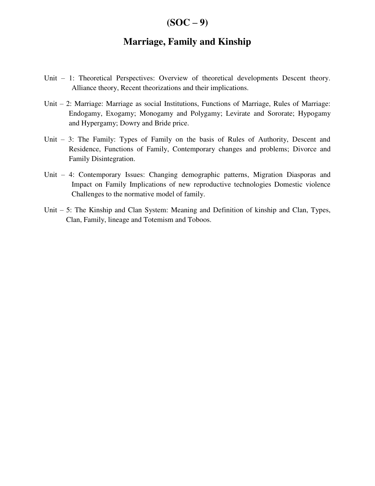#### $(SOC - 9)$

### **Marriage, Family and Kinship**

- Unit 1: Theoretical Perspectives: Overview of theoretical developments Descent theory. Alliance theory, Recent theorizations and their implications.
- Unit 2: Marriage: Marriage as social Institutions, Functions of Marriage, Rules of Marriage: Endogamy, Exogamy; Monogamy and Polygamy; Levirate and Sororate; Hypogamy and Hypergamy; Dowry and Bride price.
- Unit 3: The Family: Types of Family on the basis of Rules of Authority, Descent and Residence, Functions of Family, Contemporary changes and problems; Divorce and Family Disintegration.
- Unit 4: Contemporary Issues: Changing demographic patterns, Migration Diasporas and Impact on Family Implications of new reproductive technologies Domestic violence Challenges to the normative model of family.
- Unit 5: The Kinship and Clan System: Meaning and Definition of kinship and Clan, Types, Clan, Family, lineage and Totemism and Toboos.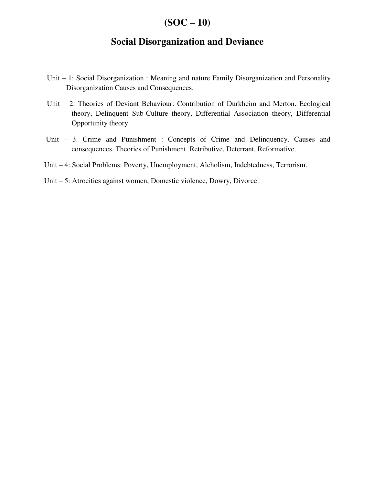## $(SOC - 10)$

### **Social Disorganization and Deviance**

- Unit 1: Social Disorganization : Meaning and nature Family Disorganization and Personality Disorganization Causes and Consequences.
- Unit 2: Theories of Deviant Behaviour: Contribution of Durkheim and Merton. Ecological theory, Delinquent Sub-Culture theory, Differential Association theory, Differential Opportunity theory.
- Unit 3. Crime and Punishment : Concepts of Crime and Delinquency. Causes and consequences. Theories of Punishment Retributive, Deterrant, Reformative.
- Unit 4: Social Problems: Poverty, Unemployment, Alcholism, Indebtedness, Terrorism.
- Unit 5: Atrocities against women, Domestic violence, Dowry, Divorce.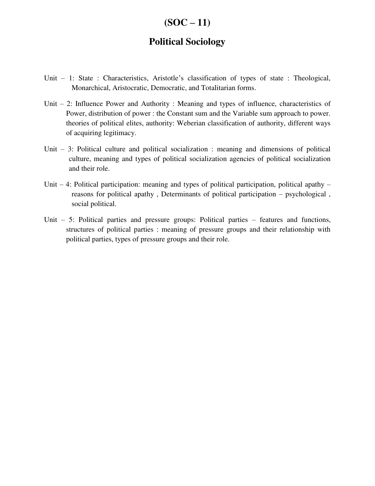# $(SOC - 11)$

### **Political Sociology**

- Unit 1: State : Characteristics, Aristotle's classification of types of state : Theological, Monarchical, Aristocratic, Democratic, and Totalitarian forms.
- Unit 2: Influence Power and Authority : Meaning and types of influence, characteristics of Power, distribution of power : the Constant sum and the Variable sum approach to power. theories of political elites, authority: Weberian classification of authority, different ways of acquiring legitimacy.
- Unit 3: Political culture and political socialization : meaning and dimensions of political culture, meaning and types of political socialization agencies of political socialization and their role.
- Unit 4: Political participation: meaning and types of political participation, political apathy reasons for political apathy , Determinants of political participation – psychological , social political.
- Unit 5: Political parties and pressure groups: Political parties features and functions, structures of political parties : meaning of pressure groups and their relationship with political parties, types of pressure groups and their role.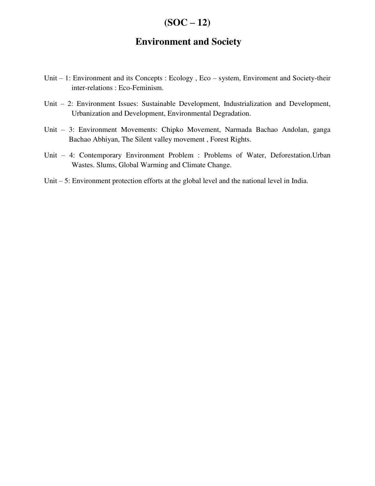## $(SOC - 12)$

### **Environment and Society**

- Unit 1: Environment and its Concepts : Ecology , Eco system, Enviroment and Society-their inter-relations : Eco-Feminism.
- Unit 2: Environment Issues: Sustainable Development, Industrialization and Development, Urbanization and Development, Environmental Degradation.
- Unit 3: Environment Movements: Chipko Movement, Narmada Bachao Andolan, ganga Bachao Abhiyan, The Silent valley movement , Forest Rights.
- Unit 4: Contemporary Environment Problem : Problems of Water, Deforestation.Urban Wastes. Slums, Global Warming and Climate Change.
- Unit 5: Environment protection efforts at the global level and the national level in India.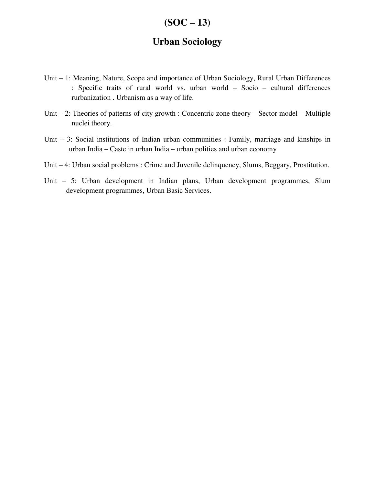# $(SOC - 13)$

### **Urban Sociology**

- Unit 1: Meaning, Nature, Scope and importance of Urban Sociology, Rural Urban Differences : Specific traits of rural world vs. urban world – Socio – cultural differences rurbanization . Urbanism as a way of life.
- Unit 2: Theories of patterns of city growth : Concentric zone theory Sector model Multiple nuclei theory.
- Unit 3: Social institutions of Indian urban communities : Family, marriage and kinships in urban India – Caste in urban India – urban polities and urban economy
- Unit 4: Urban social problems : Crime and Juvenile delinquency, Slums, Beggary, Prostitution.
- Unit 5: Urban development in Indian plans, Urban development programmes, Slum development programmes, Urban Basic Services.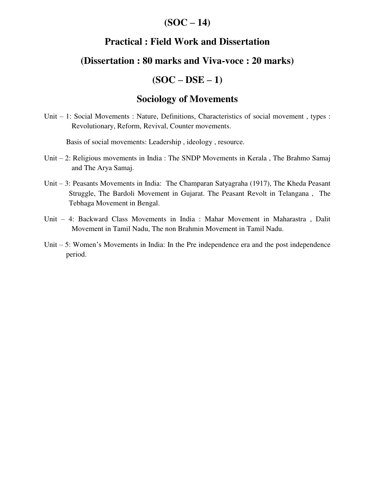## $(SOC - 14)$

## **Practical : Field Work and Dissertation**

#### **(Dissertation : 80 marks and Viva-voce : 20 marks)**

# **(SOC – DSE – 1)**

## **Sociology of Movements**

Unit – 1: Social Movements : Nature, Definitions, Characteristics of social movement , types : Revolutionary, Reform, Revival, Counter movements.

Basis of social movements: Leadership , ideology , resource.

- Unit 2: Religious movements in India : The SNDP Movements in Kerala , The Brahmo Samaj and The Arya Samaj.
- Unit 3: Peasants Movements in India: The Champaran Satyagraha (1917), The Kheda Peasant Struggle, The Bardoli Movement in Gujarat. The Peasant Revolt in Telangana , The Tebhaga Movement in Bengal.
- Unit 4: Backward Class Movements in India : Mahar Movement in Maharastra , Dalit Movement in Tamil Nadu, The non Brahmin Movement in Tamil Nadu.
- Unit 5: Women's Movements in India: In the Pre independence era and the post independence period.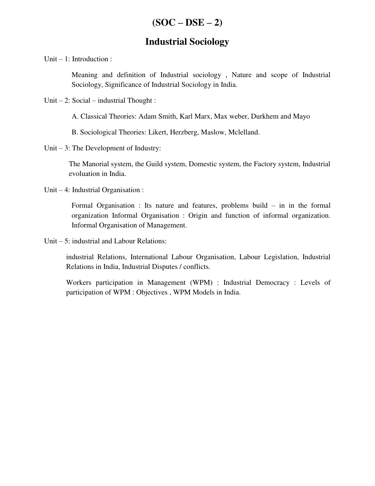## **Industrial Sociology**

Unit – 1: Introduction :

Meaning and definition of Industrial sociology , Nature and scope of Industrial Sociology, Significance of Industrial Sociology in India.

Unit  $-2$ : Social – industrial Thought :

A. Classical Theories: Adam Smith, Karl Marx, Max weber, Durkhem and Mayo

B. Sociological Theories: Likert, Herzberg, Maslow, Mclelland.

Unit – 3: The Development of Industry:

The Manorial system, the Guild system, Domestic system, the Factory system, Industrial evoluation in India.

Unit – 4: Industrial Organisation :

 Formal Organisation : Its nature and features, problems build – in in the formal organization Informal Organisation : Origin and function of informal organization. Informal Organisation of Management.

Unit – 5: industrial and Labour Relations:

 industrial Relations, International Labour Organisation, Labour Legislation, Industrial Relations in India, Industrial Disputes / conflicts.

 Workers participation in Management (WPM) : Industrial Democracy : Levels of participation of WPM : Objectives , WPM Models in India.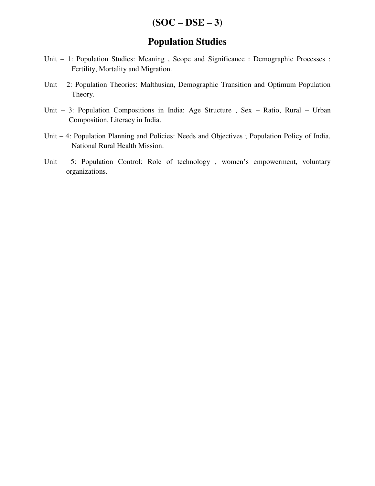## $(SOC - DSE - 3)$

### **Population Studies**

- Unit 1: Population Studies: Meaning , Scope and Significance : Demographic Processes : Fertility, Mortality and Migration.
- Unit 2: Population Theories: Malthusian, Demographic Transition and Optimum Population Theory.
- Unit 3: Population Compositions in India: Age Structure , Sex Ratio, Rural Urban Composition, Literacy in India.
- Unit 4: Population Planning and Policies: Needs and Objectives ; Population Policy of India, National Rural Health Mission.
- Unit 5: Population Control: Role of technology , women's empowerment, voluntary organizations.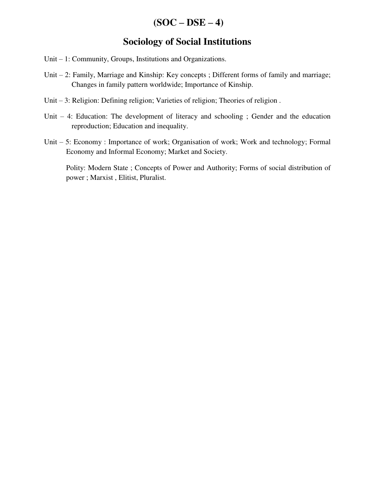## $(SOC - DSE - 4)$

### **Sociology of Social Institutions**

- Unit 1: Community, Groups, Institutions and Organizations.
- Unit 2: Family, Marriage and Kinship: Key concepts ; Different forms of family and marriage; Changes in family pattern worldwide; Importance of Kinship.
- Unit 3: Religion: Defining religion; Varieties of religion; Theories of religion .
- Unit 4: Education: The development of literacy and schooling ; Gender and the education reproduction; Education and inequality.
- Unit 5: Economy : Importance of work; Organisation of work; Work and technology; Formal Economy and Informal Economy; Market and Society.

 Polity: Modern State ; Concepts of Power and Authority; Forms of social distribution of power ; Marxist , Elitist, Pluralist.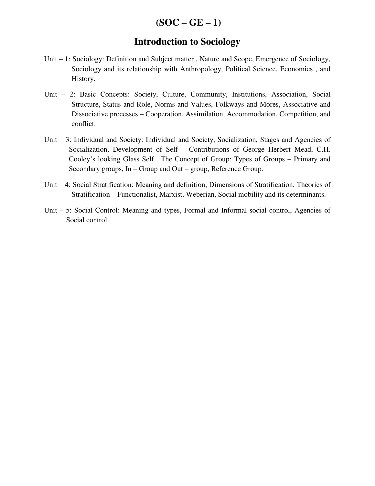## $(SOC - GE - 1)$

#### **Introduction to Sociology**

- Unit 1: Sociology: Definition and Subject matter , Nature and Scope, Emergence of Sociology, Sociology and its relationship with Anthropology, Political Science, Economics , and History.
- Unit 2: Basic Concepts: Society, Culture, Community, Institutions, Association, Social Structure, Status and Role, Norms and Values, Folkways and Mores, Associative and Dissociative processes – Cooperation, Assimilation, Accommodation, Competition, and conflict.
- Unit 3: Individual and Society: Individual and Society, Socialization, Stages and Agencies of Socialization, Development of Self – Contributions of George Herbert Mead, C.H. Cooley's looking Glass Self . The Concept of Group: Types of Groups – Primary and Secondary groups, In – Group and Out – group, Reference Group.
- Unit 4: Social Stratification: Meaning and definition, Dimensions of Stratification, Theories of Stratification – Functionalist, Marxist, Weberian, Social mobility and its determinants.
- Unit 5: Social Control: Meaning and types, Formal and Informal social control, Agencies of Social control.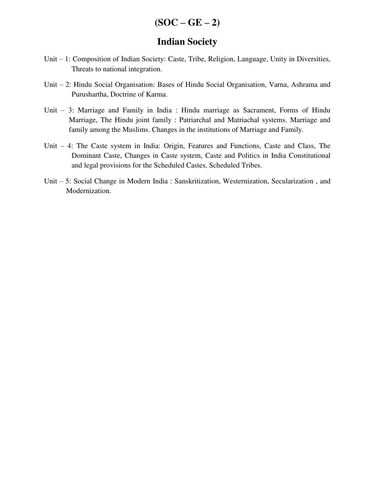### **Indian Society**

- Unit 1: Composition of Indian Society: Caste, Tribe, Religion, Language, Unity in Diversities, Threats to national integration.
- Unit 2: Hindu Social Organisation: Bases of Hindu Social Organisation, Varna, Ashrama and Purushartha, Doctrine of Karma.
- Unit 3: Marriage and Family in India : Hindu marriage as Sacrament, Forms of Hindu Marriage, The Hindu joint family : Patriarchal and Matriachal systems. Marriage and family among the Muslims. Changes in the institutions of Marriage and Family.
- Unit 4: The Caste system in India: Origin, Features and Functions, Caste and Class, The Dominant Caste, Changes in Caste system, Caste and Politics in India Constitutional and legal provisions for the Scheduled Castes, Scheduled Tribes.
- Unit 5: Social Change in Modern India : Sanskritization, Westernization, Secularization , and Modernization.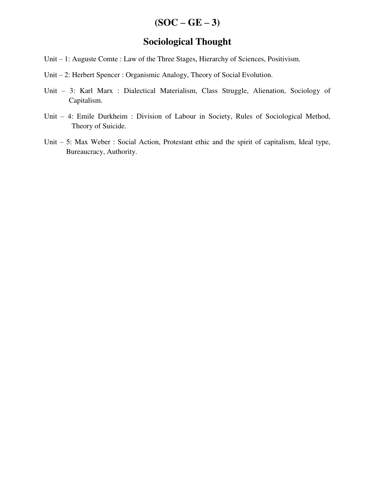# $(SOC - GE - 3)$

## **Sociological Thought**

- Unit 1: Auguste Comte : Law of the Three Stages, Hierarchy of Sciences, Positivism.
- Unit 2: Herbert Spencer : Organismic Analogy, Theory of Social Evolution.
- Unit 3: Karl Marx : Dialectical Materialism, Class Struggle, Alienation, Sociology of Capitalism.
- Unit 4: Emile Durkheim : Division of Labour in Society, Rules of Sociological Method, Theory of Suicide.
- Unit 5: Max Weber : Social Action, Protestant ethic and the spirit of capitalism, Ideal type, Bureaucracy, Authority.